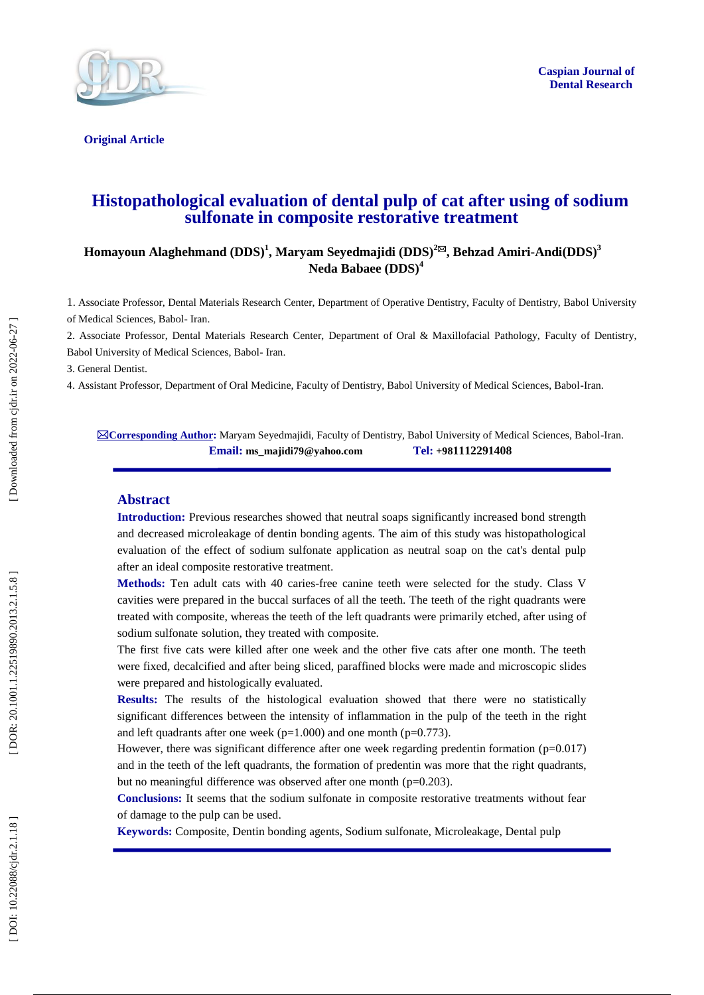

**Caspian Journal of Dental Research**

**Original Article** 

# **Histopathological evaluation of dental pulp of cat after using of sodium sulfonate in composite restorative treatment**

### **Homayoun Alaghehmand (DDS) 1 , Maryam Seyedmajidi (DDS) 2 , Behzad Amiri - Andi(DDS) 3 Neda Babaee (DDS) 4**

1. Associate Professor, Dental Materials Research Center, Department of Operative Dentistry, Faculty of Dentistry, Babol University of Medical Sciences, Babol - Iran.

2. Associate Professor, Dental Materials Research Center, Department of Oral & Maxillofacial Pathology, Faculty of Dentistry, Babol University of Medical Sciences, Babol - Iran .

3. General Dentist .

4. Assistant Professor, Department of Oral Medicine, Faculty of Dentistry, Babol University of Medical Sciences, Babol -Iran .

**⊠Corresponding Author:** Maryam Seyedmajidi, Faculty of Dentistry, Babol University of Medical Sciences, Babol-Iran. **Email: ms\_majidi79@yahoo.com Tel: +981112291408**

#### **Abstract**

**Introduction :** Previous researches showed that neutral soaps significantly increased bond strength and decreased microleakage of dentin bonding agents. The aim of this study was histopathological evaluation of the effect of sodium sulfonate application as neutral soap on the cat's dental pulp after an ideal composite restorative treatment.

**Methods:** Ten adult cats with 40 caries -free canine teeth were selected for the study. Class V cavities were prepared in the buccal surfaces of all the teeth. The teeth of the right quadrants were treated with composite, whereas the teeth of the left quadrants were primarily etched, after using of sodium sulfonate solution, they treated with composite.

The first five cats were killed after one week and the other five cats after one month. The teeth were fixed, decalcified and after being sliced, paraffined blocks were made and microscopic slides were prepared and histologically evaluated.

**Results:** The results of the histological evaluation showed that there were no statistically significant differences between the intensity of inflammation in the pulp of the teeth in the right and left quadrants after one week ( $p=1.000$ ) and one month ( $p=0.773$ ).

However, there was significant difference after one week regarding predentin formation (p=0.017) and in the teeth of the left quadrants, the formation of predentin was more that the right quadrants, but no meaningful difference was observed after one month (p=0.203).

**Conclusions:** It seems that the sodium sulfonate in composite restorative treatments without fear of damage to the pulp can be used .

**Keywords:** Composite, Dentin bonding agents, Sodium sulfonate, Microleakage, Dental pulp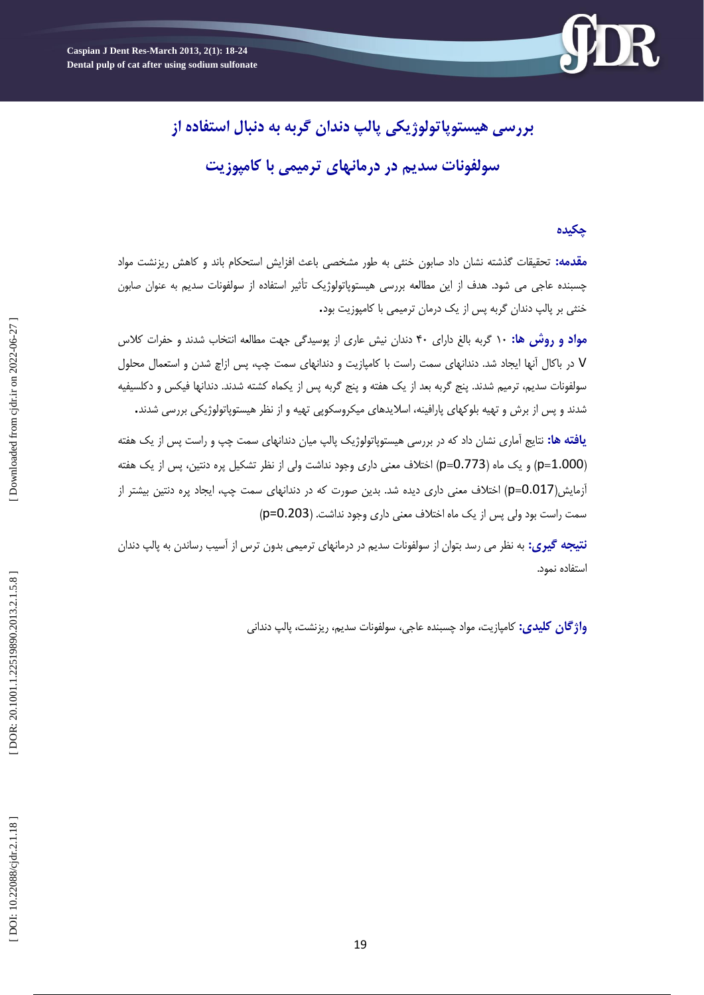**بررسی هیستوپاتولوژیکی پالپ دندان گربه به دنبال استفاده از سولفونات سدیم در درمانهای ترمیمی با کامپوزیت**

## **چکیده**

**مقدمه:** تحقیقات گذشته نشان داد صابون خنثی به طور مشخصی باعث افزایش استحکام باند و کاهش ریزنشت مواد چسبنده عاجی می شود. هدف از این مطالعه بررسی هیستوپاتولوژیک تأثیر استفاده از سولفونات سدیم به عنوان صابون<br>خنثی بر پالپ دندان گربه پس از یک درمان ترمیمی با کامپوزیت بود**.** 

**مواد و روش ها:** 01 گزتِ تالغ دارای 01 دًذاى ًیص عاری اس پَسیذگی جْت هطالعِ اًتخاب ضذًذ ٍ حفزات کالس V در باکال آنها ایجاد شد. دندانهای سمت راست با کامپازیت و دندانهای سمت چپ، پس ازاچ شدن و استعمال محلول سولفونات سدیم، ترمیم شدند. پنج گربه بعد از یک هفته و پنج گربه پس از یکماه کشته شدند. دندانها فیکس و دکلسیفیه<br>شدند و پس از برش و تهیه بلوکهای یارافینه، اسلایدهای میکروسکویی تهیه و از نظر هیستویاتولوژیکی بررسی شدند.

<mark>یافته ها:</mark> نتایج اماری نشان داد که در بررسی هیستوپاتولوژیک پالپ میان دندانهای سمت چپ و راست پس از یک هفته (p=0.773) و یک ماه (p=0.773) اختلاف معنی داری وجود نداشت ولی از نظر تشکیل پره دنتین، پس از یک هفته أزمایش(p=0.017) اختلاف معنی داری دیده شد. بدین صورت که در دندانهای سمت چپ، ایجاد پره دنتین بیشتر از سمت راست بود ولی پس از یک ماه اختلاف معنی داری وجود نداشت. (p=0.203)

<mark>نتیجه گیری:</mark> به نظر می رسد بتوان از سولفونات سدیم در درمانهای ترمیمی بدون ترس از آسیب رساندن به پالپ دندان استفاده نمود.

<mark>واژگان کلیدی:</mark> کامپازیت، مواد چسبنده عاجی، سولفونات سدیم، ریزنشت، پالپ دندانی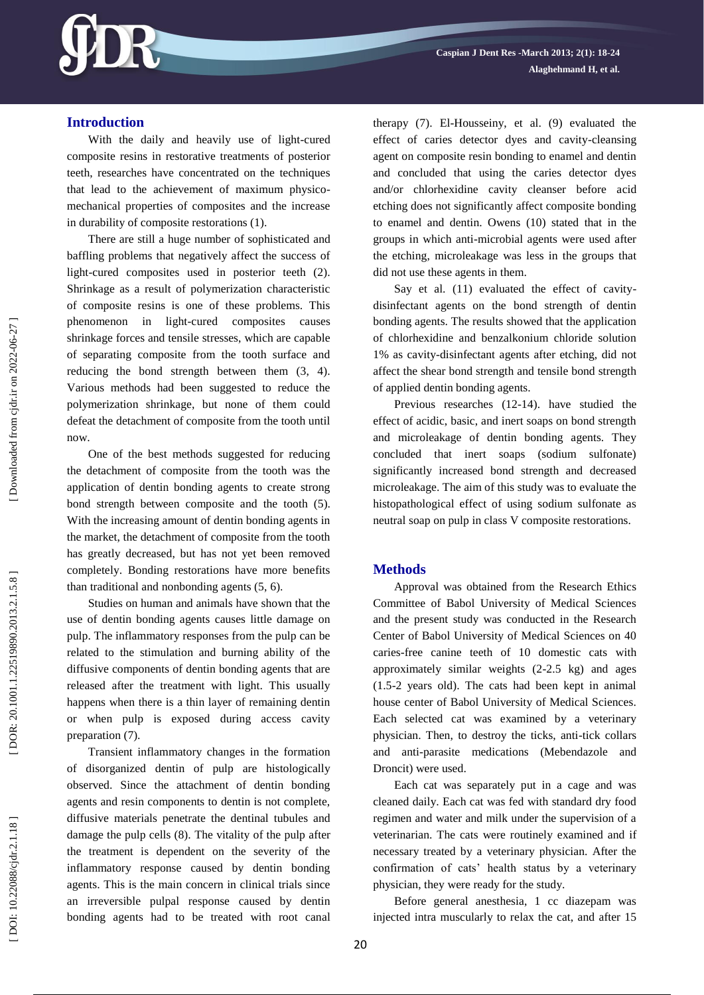

### **Introduction**

With the daily and heavily use of light -cured composite resins in restorative treatments of posterior teeth, researches have concentrated on the techniques that lead to the achievement of maximum physico mechanical properties of composites and the increase in durability of composite restorations (1).

There are still a huge number of sophisticated and baffling problems that negatively affect the success of light -cured composites used in posterior teeth (2). Shrinkage as a result of polymerization characteristic of composite resins is one of these problems. This phenomenon in light-cured composites causes shrinkage forces and tensile stresses, which are capable of separating composite from the tooth surface and reducing the bond strength between them (3, 4). Various methods had been suggested to reduce the polymerization shrinkage, but none of them could defeat the detachment of composite from the tooth until now.

One of the best methods suggested for reducing the detachment of composite from the tooth was the application of dentin bonding agents to create strong bond strength between composite and the tooth (5). With the increasing amount of dentin bonding agents in the market, the detachment of composite from the tooth has greatly decreased, but has not yet been removed completely. Bonding restorations have more benefits than traditional and nonbonding agents (5, 6).

Studies on human and animals have shown that the use of dentin bonding agents causes little damage on pulp. The inflammatory responses from the pulp can be related to the stimulation and burning ability of the diffusive components of dentin bonding agents that are released after the treatment with light. This usually happens when there is a thin layer of remaining dentin or when pulp is exposed during access cavity preparation (7).

Transient inflammatory changes in the formation of disorganized dentin of pulp are histologically observed. Since the attachment of dentin bonding agents and resin components to dentin is not complete, diffusive materials penetrate the dentinal tubules and damage the pulp cells (8). The vitality of the pulp after the treatment is dependent on the severity of the inflammatory response caused by dentin bonding agents. This is the main concern in clinical trials since an irreversible pulpal response caused by dentin bonding agents had to be treated with root canal therapy (7). El -Housseiny , et al. (9) evaluated the effect of caries detector dyes and cavity -cleansing agent on composite resin bonding to enamel and dentin and concluded that using the caries detector dyes and/or chlorhexidine cavity cleanser before acid etching does not significantly affect composite bonding to enamel and dentin. Owens (10) stated that in the groups in which anti -microbial agents were used after the etching, microleakage was less in the groups that

did not use these agents in them.<br>Say et al. (11) evaluated the effect of cavitydisinfectant agents on the bond strength of dentin bonding agents. The results showed that the application of chlorhexidine and benzalkonium chloride solution 1% as cavity -disinfectant agents after etching, did not affect the shear bond strength and tensile bond strength of applied dentin bonding agents.

Previous researches (12-14). have studied the effect of acidic, basic, and inert soaps on bond strength and microleakage of dentin bonding agents. They concluded that inert soaps (sodium sulfonate) significantly increased bond strength and decreased microleakage. The aim of this study was to evaluate the histopathological effect of using sodium sulfonate as neutral soap on pulp in class V composite restorations.

### **Method s**

Approval was obtained from the Research Ethics Committee of Babol University of Medical Sciences and the present study was conducted in the Research Center of Babol University of Medical Sciences on 40 caries -free canine teeth of 10 domestic cats with approximately similar weights (2 -2.5 kg) and ages (1.5 -2 years old). The cats had been kept in animal house center of Babol University of Medical Sciences. Each selected cat was examined by a veterinary physician. Then, to destroy the ticks, anti -tick collars and anti -parasite medications (Mebendazole and Droncit) were used.

Each cat was separately put in a cage and was cleaned daily. Each cat was fed with standard dry food regimen and water and milk under the supervision of a veterinarian. The cats were routinely examined and if necessary treated by a veterinary physician. After the confirmation of cats' health status by a veterinary physician, they were ready for the study.

Before general anesthesia, 1 cc diazepam was injected intra muscularly to relax the cat, and after 15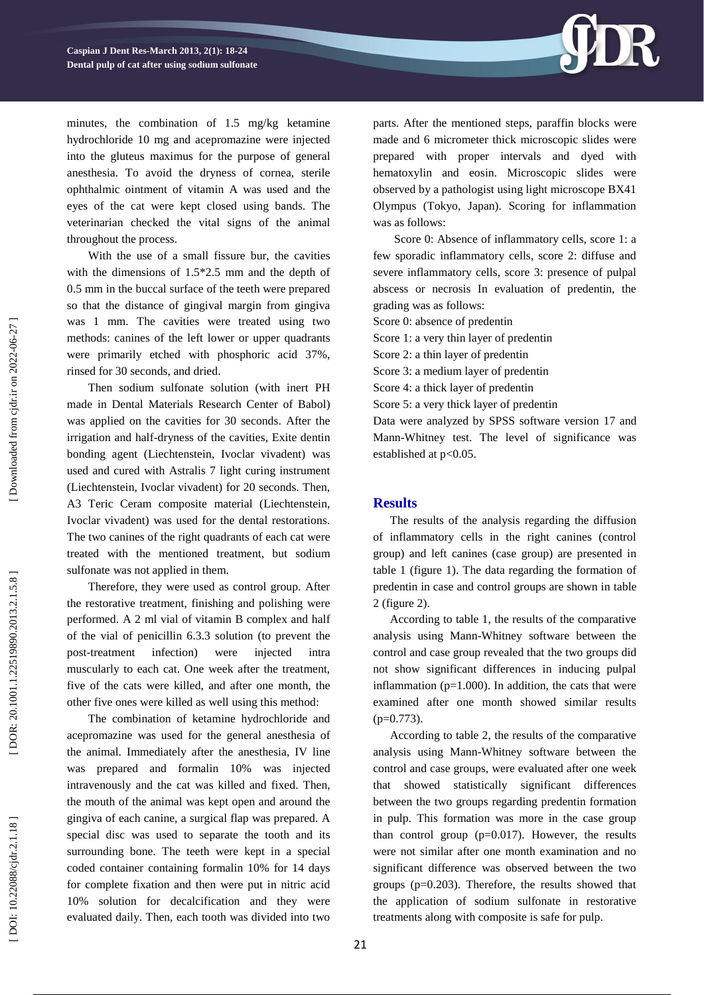

minutes, the combination of 1.5 mg/kg ketamine hydrochloride 10 mg and acepromazine were injected into the gluteus maximus for the purpose of general anesthesia. To avoid the dryness of cornea, sterile ophthalmic ointment of vitamin A was used and the eyes of the cat were kept closed using bands. The veterinarian checked the vital signs of the animal throughout the process.

With the use of a small fissure bur, the cavities with the dimensions of 1.5\*2.5 mm and the depth of 0.5 mm in the buccal surface of the teeth were prepared so that the distance of gingival margin from gingiva was 1 mm. The cavities were treated using two methods: canines of the left lower or upper quadrants were primarily etched with phosphoric acid 37%, rinsed for 30 seconds, and dried.

Then sodium sulfonate solution (with inert PH made in Dental Materials Research Center of Babol) was applied on the cavities for 30 seconds. After the irrigation and half -dryness of the cavities, Exite dentin bonding agent (Liechtenstein, Ivoclar vivadent) was used and cured with Astralis 7 light curing instrument (Liechtenstein, Ivoclar vivadent) for 20 seconds. Then, A3 Teric Ceram composite material (Liechtenstein, Ivoclar vivadent) was used for the dental restorations. The two canines of the right quadrants of each cat were treated with the mentioned treatment, but sodium sulfonate was not applied in them.

Therefore, they were used as control group. After the restorative treatment, finishing and polishing were performed. A 2 ml vial of vitamin B complex and half of the vial of penicillin 6.3.3 solution (to prevent the post-treatment infection) were injected intra muscularly to each cat. One week after the treatment, five of the cats were killed, and after one month, the other five ones were killed as well using this method:

The combination of ketamine hydrochloride and acepromazine was used for the general anesthesia of the animal. Immediately after the anesthesia, IV line was prepared and formalin 10% was injected intravenously and the cat was killed and fixed. Then, the mouth of the animal was kept open and around the gingiva of each canine, a surgical flap was prepared. A special disc was used to separate the tooth and its surrounding bone. The teeth were kept in a special coded container containing formalin 10% for 14 days for complete fixation and then were put in nitric acid 10% solution for decalcification and they were evaluated daily. Then, each tooth was divided into two parts. After the mentioned steps, paraffin blocks were made and 6 micrometer thick microscopic slides were prepared with proper intervals and dyed with hematoxylin and eosin. Microscopic slides were observed by a pathologist using light microscope BX41 Olympus (Tokyo, Japan). Scoring for inflammation was as follows:

Score 0: Absence of inflammatory cells, score 1: a few sporadic inflammatory cells, score 2: diffuse and severe inflammatory cells, score 3: presence of pulpal abscess or necrosis In evaluation of predentin, the grading was as follows:

Score 0: absence of predentin

Score 1: a very thin layer of predentin

Score 2: a thin layer of predentin

Score 3: a medium layer of predentin

Score 4: a thick layer of predentin

Score 5: a very thick layer of predentin

Data were analyzed by SPSS software version 17 and Mann -Whitney test. The level of significance was established at p<0.05.

#### **Results**

The results of the analysis regarding the diffusion of inflammatory cells in the right canines (control group) and left canines (case group) are presented in table 1 ( figure 1). The data regarding the formation of predentin in case and control groups are shown in table 2 (figure 2) .

According to table 1, the results of the comparative analysis using Mann -Whitney software between the control and case group revealed that the two groups did not show significant differences in inducing pulpal inflammation ( $p=1.000$ ). In addition, the cats that were examined after one month showed similar results  $(p=0.773)$ .

According to table 2, the results of the comparative analysis using Mann -Whitney software between the control and case groups, were evaluated after one week that showed statistically significant differences between the two groups regarding predentin formation in pulp. This formation was more in the case group than control group (p=0.017). However, the results were not similar after one month examination and no significant difference was observed between the two groups (p=0.203). Therefore, the results showed that the application of sodium sulfonate in restorative treatments along with composite is safe for pulp.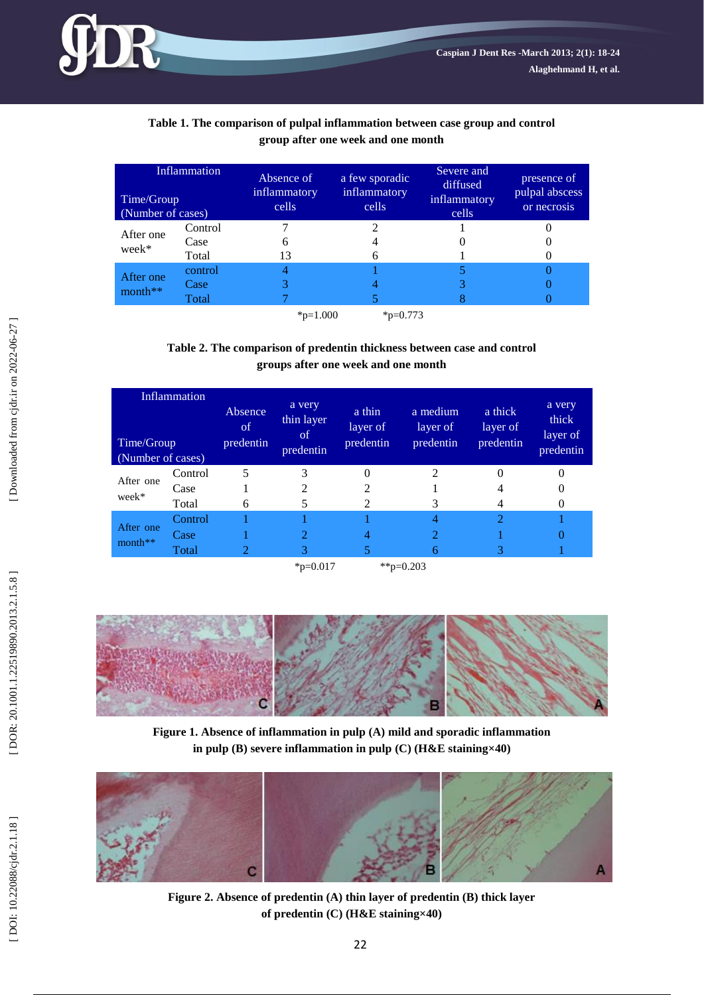

## **Table 1 . The comparison of pulpal inflammation between case group and control group after one week and one month**

| <b>Inflammation</b><br>Time/Group<br>(Number of cases) |         | Absence of<br>inflammatory<br>cells | a few sporadic<br>inflammatory<br>cells | Severe and<br>diffused<br>inflammatory<br>cells | presence of<br>pulpal abscess<br>or necrosis |
|--------------------------------------------------------|---------|-------------------------------------|-----------------------------------------|-------------------------------------------------|----------------------------------------------|
| After one<br>week*                                     | Control |                                     |                                         |                                                 |                                              |
|                                                        | Case    |                                     |                                         |                                                 |                                              |
|                                                        | Total   | 13                                  |                                         |                                                 |                                              |
| After one<br>$month**$                                 | control |                                     |                                         |                                                 |                                              |
|                                                        | Case    |                                     |                                         |                                                 |                                              |
|                                                        | Total   |                                     |                                         |                                                 |                                              |
|                                                        |         | $_{\text{*p=1.000}}$                | $*_{p=0.773}$                           |                                                 |                                              |

## **Table 2. The comparison of predentin thickness between case and control groups after one week and one month**

| Inflammation<br>Time/Group<br>(Number of cases) |                          | Absence<br>of<br>predentin | a very<br>thin layer<br><sub>of</sub><br>predentin | a thin<br>layer of<br>predentin | a medium<br>layer of<br>predentin | a thick<br>layer of<br>predentin | a very<br>thick<br>layer of<br>predentin |
|-------------------------------------------------|--------------------------|----------------------------|----------------------------------------------------|---------------------------------|-----------------------------------|----------------------------------|------------------------------------------|
| After one<br>week*                              | Control<br>Case<br>Total | 6                          | 2                                                  |                                 | 3                                 |                                  | O                                        |
| After one<br>month**                            | Control<br>Case<br>Total |                            |                                                    |                                 | 6                                 | 3                                |                                          |
|                                                 |                          |                            | $_{\text{p}=0.017}$                                |                                 | **p=0.203                         |                                  |                                          |



**Figure 1. Absence of inflammation in pulp (A) mild and sporadic inflammation in pulp (B) severe inflammation in pulp (C) (H&E staining×40)**



**Figure 2. Absence of predentin (A) thin layer of predentin (B) thick layer of predentin (C) (H&E staining×40)**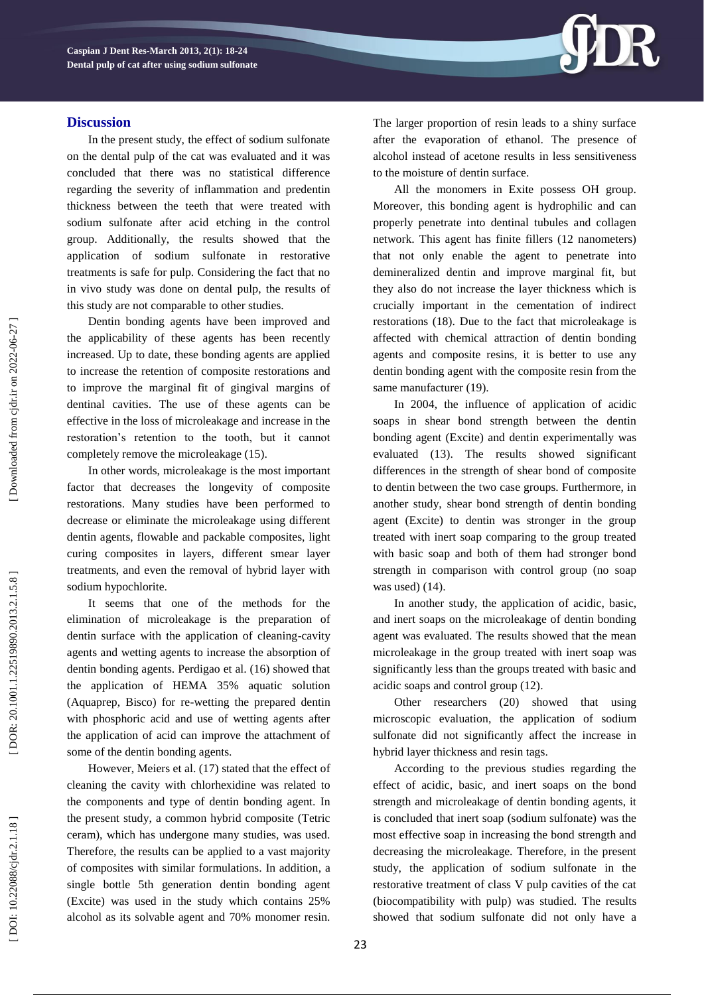

### **Discussion**

In the present study, the effect of sodium sulfonate on the dental pulp of the cat was evaluated and it was concluded that there was no statistical difference regarding the severity of inflammation and predentin thickness between the teeth that were treated with sodium sulfonate after acid etching in the control group. Additionally, the results showed that the application of sodium sulfonate in restorative treatments is safe for pulp. Considering the fact that no in vivo study was done on dental pulp, the results of this study are not comparable to other studies.

Dentin bonding agents have been improved and the applicability of these agents has been recently increased. Up to date, these bonding agents are applied to increase the retention of composite restorations and to improve the marginal fit of gingival margins of dentinal cavities. The use of these agents can be effective in the loss of microleakage and increase in the restoration's retention to the tooth, but it cannot completely remove the microleakage (15).

In other words, microleakage is the most important factor that decreases the longevity of composite restorations. Many studies have been performed to decrease or eliminate the microleakage using different dentin agents, flowable and packable composites, light curing composites in layers, different smear layer treatments, and even the removal of hybrid layer with sodium hypochlorite.

It seems that one of the methods for the elimination of microleakage is the preparation of dentin surface with the application of cleaning -cavity agents and wetting agents to increase the absorption of dentin bonding agents. Perdigao et al. (16) showed that the application of HEMA 35% aquatic solution (Aquaprep, Bisco) for re -wetting the prepared dentin with phosphoric acid and use of wetting agents after the application of acid can improve the attachment of some of the dentin bonding agents.

However, Meiers et al. (17) stated that the effect of cleaning the cavity with chlorhexidine was related to the components and type of dentin bonding agent. In the present study, a common hybrid composite (Tetric ceram), which has undergone many studies, was used. Therefore, the results can be applied to a vast majority of composites with similar formulations. In addition, a single bottle 5th generation dentin bonding agent (Excite) was used in the study which contains 25% alcohol as its solvable agent and 70% monomer resin. The larger proportion of resin leads to a shiny surface after the evaporation of ethanol. The presence of alcohol instead of acetone results in less sensitiveness to the moisture of dentin surface.

All the monomers in Exite possess OH group. Moreover, this bonding agent is hydrophilic and can properly penetrate into dentinal tubules and collagen network. This agent has finite fillers (12 nanometers) that not only enable the agent to penetrate into demineralized dentin and improve marginal fit, but they also do not increase the layer thickness which is crucially important in the cementation of indirect restorations (18). Due to the fact that microleakage is affected with chemical attraction of dentin bonding agents and composite resins, it is better to use any dentin bonding agent with the composite resin from the same manufacturer (19).

In 2004, the influence of application of acidic soaps in shear bond strength between the dentin bonding agent (Excite) and dentin experimentally was evaluated (13) . The results showed significant differences in the strength of shear bond of composite to dentin between the two case groups. Furthermore, in another study, shear bond strength of dentin bonding agent (Excite) to dentin was stronger in the group treated with inert soap comparing to the group treated with basic soap and both of them had stronger bond strength in comparison with control group (no soap was used) (14) .

In another study, the application of acidic, basic, and inert soaps on the microleakage of dentin bonding agent was evaluated. The results showed that the mean microleakage in the group treated with inert soap was significantly less than the groups treated with basic and acidic soaps and control group (12) .

Other researchers (20) showed that using microscopic evaluation, the application of sodium sulfonate did not significantly affect the increase in hybrid layer thickness and resin tags.

According to the previous studies regarding the effect of acidic, basic, and inert soaps on the bond strength and microleakage of dentin bonding agents, it is concluded that inert soap (sodium sulfonate) was the most effective soap in increasing the bond strength and decreasing the microleakage. Therefore, in the present study, the application of sodium sulfonate in the restorative treatment of class V pulp cavities of the cat (biocompatibility with pulp) was studied. The results showed that sodium sulfonate did not only have a